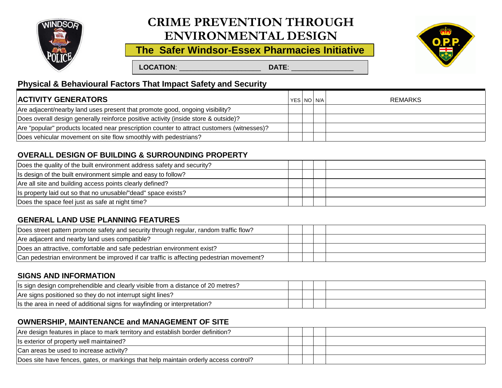

# **ENVIRONMENTAL DESIGN CRIME PREVENTION THROUGH**

**The Safer Windsor-Essex Pharmacies Initiative**



 **LOCATION**: \_\_\_\_\_\_\_\_\_\_\_\_\_\_\_\_\_\_\_\_\_ **DATE**: \_\_\_\_\_\_\_\_\_\_\_\_\_\_\_\_

# **Physical & Behavioural Factors That Impact Safety and Security**

| <b>ACTIVITY GENERATORS</b>                                                                 |  | YES NO N/A I<br><b>REMARKS</b> |
|--------------------------------------------------------------------------------------------|--|--------------------------------|
| Are adjacent/nearby land uses present that promote good, ongoing visibility?               |  |                                |
| Does overall design generally reinforce positive activity (inside store & outside)?        |  |                                |
| Are "popular" products located near prescription counter to attract customers (witnesses)? |  |                                |
| Does vehicular movement on site flow smoothly with pedestrians?                            |  |                                |

# **OVERALL DESIGN OF BUILDING & SURROUNDING PROPERTY**

| Does the quality of the built environment address safety and security? |  |  |
|------------------------------------------------------------------------|--|--|
| Is design of the built environment simple and easy to follow?          |  |  |
| Are all site and building access points clearly defined?               |  |  |
| Is property laid out so that no unusable/"dead" space exists?          |  |  |
| Does the space feel just as safe at night time?                        |  |  |

# **GENERAL LAND USE PLANNING FEATURES**

| Does street pattern promote safety and security through regular, random traffic flow?   |  |  |
|-----------------------------------------------------------------------------------------|--|--|
| Are adjacent and nearby land uses compatible?                                           |  |  |
| Does an attractive, comfortable and safe pedestrian environment exist?                  |  |  |
| Can pedestrian environment be improved if car traffic is affecting pedestrian movement? |  |  |

#### **SIGNS AND INFORMATION**

| Is sign design comprehendible and clearly visible from a distance of 20 metres? |  |  |
|---------------------------------------------------------------------------------|--|--|
| Are signs positioned so they do not interrupt sight lines?                      |  |  |
| Is the area in need of additional signs for wayfinding or interpretation?       |  |  |

#### **OWNERSHIP, MAINTENANCE and MANAGEMENT OF SITE**

| Are design features in place to mark territory and establish border definition?      |  |  |
|--------------------------------------------------------------------------------------|--|--|
| Is exterior of property well maintained?                                             |  |  |
| Can areas be used to increase activity?                                              |  |  |
| Does site have fences, gates, or markings that help maintain orderly access control? |  |  |